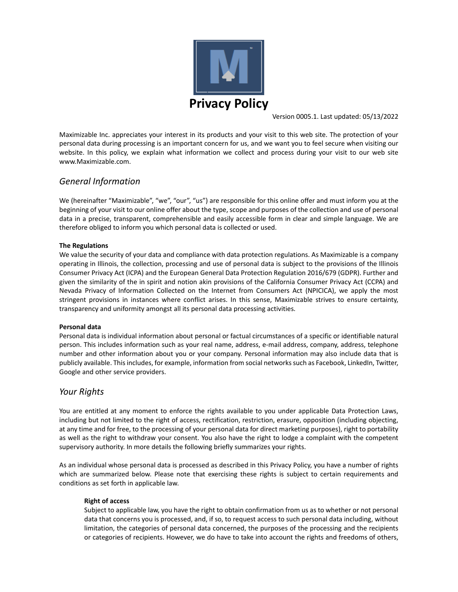

Version 0005.1. Last updated: 05/13/2022

Maximizable Inc. appreciates your interest in its products and your visit to this web site. The protection of your personal data during processing is an important concern for us, and we want you to feel secure when visiting our website. In this policy, we explain what information we collect and process during your visit to our web site www.Maximizable.com.

# *General Information*

We (hereinafter "Maximizable", "we", "our", "us") are responsible for this online offer and must inform you at the beginning of your visit to our online offer about the type, scope and purposes of the collection and use of personal data in a precise, transparent, comprehensible and easily accessible form in clear and simple language. We are therefore obliged to inform you which personal data is collected or used.

## **The Regulations**

We value the security of your data and compliance with data protection regulations. As Maximizable is a company operating in Illinois, the collection, processing and use of personal data is subject to the provisions of the Illinois Consumer Privacy Act (ICPA) and the European General Data Protection Regulation 2016/679 (GDPR). Further and given the similarity of the in spirit and notion akin provisions of the California Consumer Privacy Act (CCPA) and Nevada Privacy of Information Collected on the Internet from Consumers Act (NPICICA), we apply the most stringent provisions in instances where conflict arises. In this sense, Maximizable strives to ensure certainty, transparency and uniformity amongst all its personal data processing activities.

### **Personal data**

Personal data is individual information about personal or factual circumstances of a specific or identifiable natural person. This includes information such as your real name, address, e‐mail address, company, address, telephone number and other information about you or your company. Personal information may also include data that is publicly available. Thisincludes, for example, information from social networkssuch as Facebook, LinkedIn, Twitter, Google and other service providers.

# *Your Rights*

You are entitled at any moment to enforce the rights available to you under applicable Data Protection Laws, including but not limited to the right of access, rectification, restriction, erasure, opposition (including objecting, at any time and for free, to the processing of your personal data for direct marketing purposes), right to portability as well as the right to withdraw your consent. You also have the right to lodge a complaint with the competent supervisory authority. In more details the following briefly summarizes your rights.

As an individual whose personal data is processed as described in this Privacy Policy, you have a number of rights which are summarized below. Please note that exercising these rights is subject to certain requirements and conditions as set forth in applicable law.

# **Right of access**

Subject to applicable law, you have the right to obtain confirmation from us as to whether or not personal data that concerns you is processed, and, if so, to request access to such personal data including, without limitation, the categories of personal data concerned, the purposes of the processing and the recipients or categories of recipients. However, we do have to take into account the rights and freedoms of others,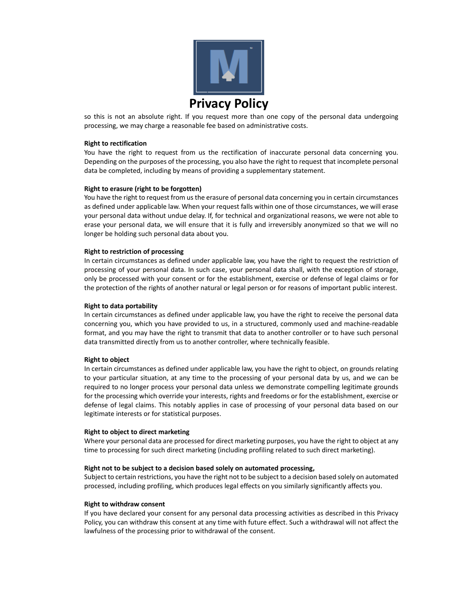

so this is not an absolute right. If you request more than one copy of the personal data undergoing processing, we may charge a reasonable fee based on administrative costs.

### **Right to rectification**

You have the right to request from us the rectification of inaccurate personal data concerning you. Depending on the purposes of the processing, you also have the right to request that incomplete personal data be completed, including by means of providing a supplementary statement.

#### **Right to erasure (right to be forgotten)**

You have the right to request from us the erasure of personal data concerning you in certain circumstances as defined under applicable law. When your request falls within one of those circumstances, we will erase your personal data without undue delay. If, for technical and organizational reasons, we were not able to erase your personal data, we will ensure that it is fully and irreversibly anonymized so that we will no longer be holding such personal data about you.

#### **Right to restriction of processing**

In certain circumstances as defined under applicable law, you have the right to request the restriction of processing of your personal data. In such case, your personal data shall, with the exception of storage, only be processed with your consent or for the establishment, exercise or defense of legal claims or for the protection of the rights of another natural or legal person or for reasons of important public interest.

#### **Right to data portability**

In certain circumstances as defined under applicable law, you have the right to receive the personal data concerning you, which you have provided to us, in a structured, commonly used and machine-readable format, and you may have the right to transmit that data to another controller or to have such personal data transmitted directly from us to another controller, where technically feasible.

#### **Right to object**

In certain circumstances as defined under applicable law, you have the right to object, on grounds relating to your particular situation, at any time to the processing of your personal data by us, and we can be required to no longer process your personal data unless we demonstrate compelling legitimate grounds for the processing which override your interests, rights and freedoms or for the establishment, exercise or defense of legal claims. This notably applies in case of processing of your personal data based on our legitimate interests or for statistical purposes.

#### **Right to object to direct marketing**

Where your personal data are processed for direct marketing purposes, you have the right to object at any time to processing for such direct marketing (including profiling related to such direct marketing).

#### **Right not to be subject to a decision based solely on automated processing,**

Subject to certain restrictions, you have the right not to be subject to a decision based solely on automated processed, including profiling, which produces legal effects on you similarly significantly affects you.

#### **Right to withdraw consent**

If you have declared your consent for any personal data processing activities as described in this Privacy Policy, you can withdraw this consent at any time with future effect. Such a withdrawal will not affect the lawfulness of the processing prior to withdrawal of the consent.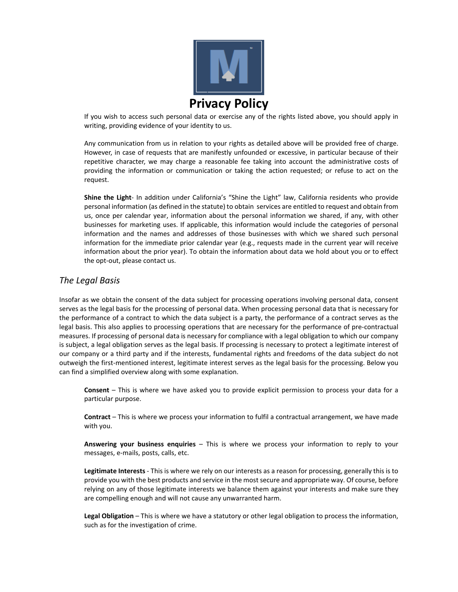

If you wish to access such personal data or exercise any of the rights listed above, you should apply in writing, providing evidence of your identity to us.

Any communication from us in relation to your rights as detailed above will be provided free of charge. However, in case of requests that are manifestly unfounded or excessive, in particular because of their repetitive character, we may charge a reasonable fee taking into account the administrative costs of providing the information or communication or taking the action requested; or refuse to act on the request.

**Shine the Light**‐ In addition under California's "Shine the Light" law, California residents who provide personal information (as defined in the statute) to obtain services are entitled to request and obtain from us, once per calendar year, information about the personal information we shared, if any, with other businesses for marketing uses. If applicable, this information would include the categories of personal information and the names and addresses of those businesses with which we shared such personal information for the immediate prior calendar year (e.g., requests made in the current year will receive information about the prior year). To obtain the information about data we hold about you or to effect the opt‐out, please contact us.

# *The Legal Basis*

Insofar as we obtain the consent of the data subject for processing operations involving personal data, consent serves as the legal basis for the processing of personal data. When processing personal data that is necessary for the performance of a contract to which the data subject is a party, the performance of a contract serves as the legal basis. This also applies to processing operations that are necessary for the performance of pre‐contractual measures. If processing of personal data is necessary for compliance with a legal obligation to which our company is subject, a legal obligation serves as the legal basis. If processing is necessary to protect a legitimate interest of our company or a third party and if the interests, fundamental rights and freedoms of the data subject do not outweigh the first‐mentioned interest, legitimate interest serves as the legal basis for the processing. Below you can find a simplified overview along with some explanation.

**Consent** – This is where we have asked you to provide explicit permission to process your data for a particular purpose.

**Contract** – This is where we process your information to fulfil a contractual arrangement, we have made with you.

**Answering your business enquiries** – This is where we process your information to reply to your messages, e‐mails, posts, calls, etc.

**Legitimate Interests** ‐ This is where we rely on our interests as a reason for processing, generally this is to provide you with the best products and service in the most secure and appropriate way. Of course, before relying on any of those legitimate interests we balance them against your interests and make sure they are compelling enough and will not cause any unwarranted harm.

**Legal Obligation** – This is where we have a statutory or other legal obligation to process the information, such as for the investigation of crime.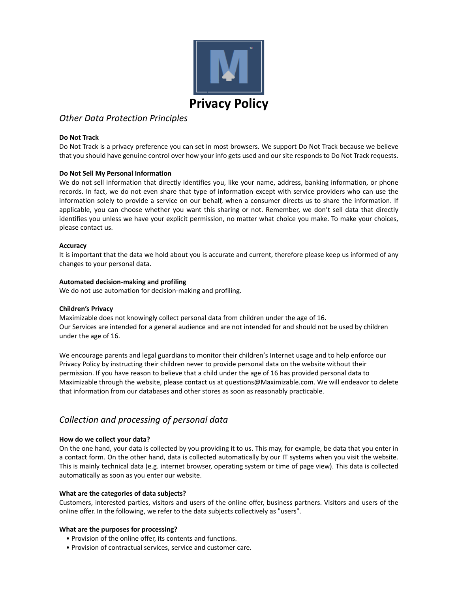

# *Other Data Protection Principles*

### **Do Not Track**

Do Not Track is a privacy preference you can set in most browsers. We support Do Not Track because we believe that you should have genuine control over how your info gets used and our site responds to Do Not Track requests.

## **Do Not Sell My Personal Information**

We do not sell information that directly identifies you, like your name, address, banking information, or phone records. In fact, we do not even share that type of information except with service providers who can use the information solely to provide a service on our behalf, when a consumer directs us to share the information. If applicable, you can choose whether you want this sharing or not. Remember, we don't sell data that directly identifies you unless we have your explicit permission, no matter what choice you make. To make your choices, please contact us.

## **Accuracy**

It is important that the data we hold about you is accurate and current, therefore please keep us informed of any changes to your personal data.

## **Automated decision‐making and profiling**

We do not use automation for decision‐making and profiling.

### **Children's Privacy**

Maximizable does not knowingly collect personal data from children under the age of 16. Our Services are intended for a general audience and are not intended for and should not be used by children under the age of 16.

We encourage parents and legal guardians to monitor their children's Internet usage and to help enforce our Privacy Policy by instructing their children never to provide personal data on the website without their permission. If you have reason to believe that a child under the age of 16 has provided personal data to Maximizable through the website, please contact us at questions@Maximizable.com. We will endeavor to delete that information from our databases and other stores as soon as reasonably practicable.

# *Collection and processing of personal data*

### **How do we collect your data?**

On the one hand, your data is collected by you providing it to us. This may, for example, be data that you enter in a contact form. On the other hand, data is collected automatically by our IT systems when you visit the website. This is mainly technical data (e.g. internet browser, operating system or time of page view). This data is collected automatically as soon as you enter our website.

# **What are the categories of data subjects?**

Customers, interested parties, visitors and users of the online offer, business partners. Visitors and users of the online offer. In the following, we refer to the data subjects collectively as "users".

### **What are the purposes for processing?**

- Provision of the online offer, its contents and functions.
- Provision of contractual services, service and customer care.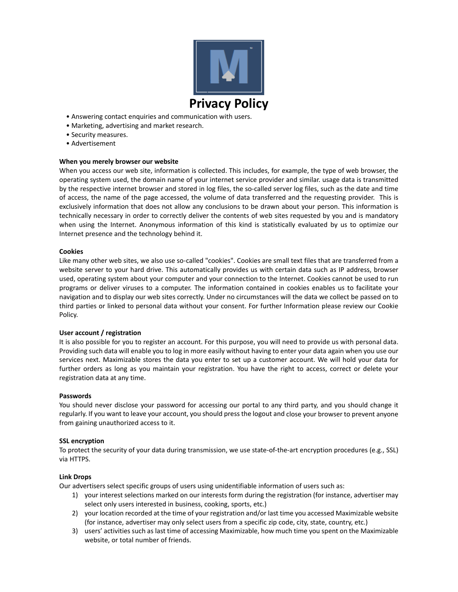

- Answering contact enquiries and communication with users.
- Marketing, advertising and market research.
- Security measures.
- Advertisement

## **When you merely browser our website**

When you access our web site, information is collected. This includes, for example, the type of web browser, the operating system used, the domain name of your internet service provider and similar. usage data is transmitted by the respective internet browser and stored in log files, the so-called server log files, such as the date and time of access, the name of the page accessed, the volume of data transferred and the requesting provider. This is exclusively information that does not allow any conclusions to be drawn about your person. This information is technically necessary in order to correctly deliver the contents of web sites requested by you and is mandatory when using the Internet. Anonymous information of this kind is statistically evaluated by us to optimize our Internet presence and the technology behind it.

### **Cookies**

Like many other web sites, we also use so-called "cookies". Cookies are small text files that are transferred from a website server to your hard drive. This automatically provides us with certain data such as IP address, browser used, operating system about your computer and your connection to the Internet. Cookies cannot be used to run programs or deliver viruses to a computer. The information contained in cookies enables us to facilitate your navigation and to display our web sites correctly. Under no circumstances will the data we collect be passed on to third parties or linked to personal data without your consent. For further Information please review our Cookie Policy.

### **User account / registration**

It is also possible for you to register an account. For this purpose, you will need to provide us with personal data. Providing such data will enable you to log in more easily without having to enter your data again when you use our services next. Maximizable stores the data you enter to set up a customer account. We will hold your data for further orders as long as you maintain your registration. You have the right to access, correct or delete your registration data at any time.

### **Passwords**

You should never disclose your password for accessing our portal to any third party, and you should change it regularly. If you want to leave your account, you should press the logout and close your browser to prevent anyone from gaining unauthorized access to it.

### **SSL encryption**

To protect the security of your data during transmission, we use state‐of‐the‐art encryption procedures (e.g., SSL) via HTTPS.

### **Link Drops**

Our advertisers select specific groups of users using unidentifiable information of users such as:

- 1) your interest selections marked on our interests form during the registration (for instance, advertiser may select only users interested in business, cooking, sports, etc.)
- 2) your location recorded at the time of your registration and/or last time you accessed Maximizable website (for instance, advertiser may only select users from a specific zip code, city, state, country, etc.)
- 3) users' activities such as last time of accessing Maximizable, how much time you spent on the Maximizable website, or total number of friends.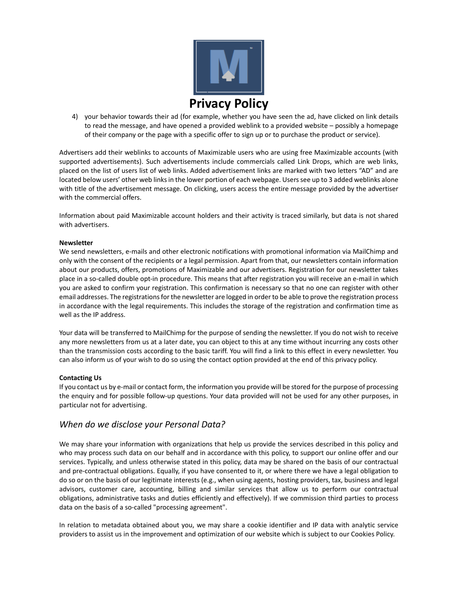

4) your behavior towards their ad (for example, whether you have seen the ad, have clicked on link details to read the message, and have opened a provided weblink to a provided website – possibly a homepage of their company or the page with a specific offer to sign up or to purchase the product or service).

Advertisers add their weblinks to accounts of Maximizable users who are using free Maximizable accounts (with supported advertisements). Such advertisements include commercials called Link Drops, which are web links, placed on the list of users list of web links. Added advertisement links are marked with two letters "AD" and are located below users' other web links in the lower portion of each webpage. Users see up to 3 added weblinks alone with title of the advertisement message. On clicking, users access the entire message provided by the advertiser with the commercial offers.

Information about paid Maximizable account holders and their activity is traced similarly, but data is not shared with advertisers.

### **Newsletter**

We send newsletters, e-mails and other electronic notifications with promotional information via MailChimp and only with the consent of the recipients or a legal permission. Apart from that, our newsletters contain information about our products, offers, promotions of Maximizable and our advertisers. Registration for our newsletter takes place in a so‐called double opt‐in procedure. This means that after registration you will receive an e‐mail in which you are asked to confirm your registration. This confirmation is necessary so that no one can register with other email addresses. The registrations for the newsletter are logged in order to be able to prove the registration process in accordance with the legal requirements. This includes the storage of the registration and confirmation time as well as the IP address.

Your data will be transferred to MailChimp for the purpose of sending the newsletter. If you do not wish to receive any more newsletters from us at a later date, you can object to this at any time without incurring any costs other than the transmission costs according to the basic tariff. You will find a link to this effect in every newsletter. You can also inform us of your wish to do so using the contact option provided at the end of this privacy policy.

### **Contacting Us**

If you contact us by e-mail or contact form, the information you provide will be stored for the purpose of processing the enquiry and for possible follow‐up questions. Your data provided will not be used for any other purposes, in particular not for advertising.

# *When do we disclose your Personal Data?*

We may share your information with organizations that help us provide the services described in this policy and who may process such data on our behalf and in accordance with this policy, to support our online offer and our services. Typically, and unless otherwise stated in this policy, data may be shared on the basis of our contractual and pre‐contractual obligations. Equally, if you have consented to it, or where there we have a legal obligation to do so or on the basis of our legitimate interests (e.g., when using agents, hosting providers, tax, business and legal advisors, customer care, accounting, billing and similar services that allow us to perform our contractual obligations, administrative tasks and duties efficiently and effectively). If we commission third parties to process data on the basis of a so‐called "processing agreement".

In relation to metadata obtained about you, we may share a cookie identifier and IP data with analytic service providers to assist us in the improvement and optimization of our website which is subject to our Cookies Policy.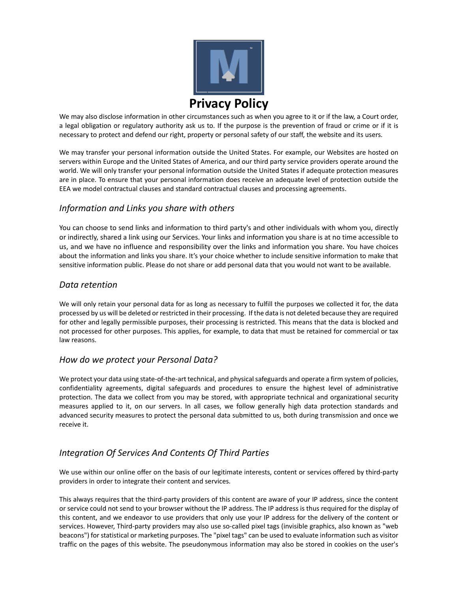

We may also disclose information in other circumstances such as when you agree to it or if the law, a Court order, a legal obligation or regulatory authority ask us to. If the purpose is the prevention of fraud or crime or if it is necessary to protect and defend our right, property or personal safety of our staff, the website and its users.

We may transfer your personal information outside the United States. For example, our Websites are hosted on servers within Europe and the United States of America, and our third party service providers operate around the world. We will only transfer your personal information outside the United States if adequate protection measures are in place. To ensure that your personal information does receive an adequate level of protection outside the EEA we model contractual clauses and standard contractual clauses and processing agreements.

# *Information and Links you share with others*

You can choose to send links and information to third party's and other individuals with whom you, directly or indirectly, shared a link using our Services. Your links and information you share is at no time accessible to us, and we have no influence and responsibility over the links and information you share. You have choices about the information and links you share. It's your choice whether to include sensitive information to make that sensitive information public. Please do not share or add personal data that you would not want to be available.

# *Data retention*

We will only retain your personal data for as long as necessary to fulfill the purposes we collected it for, the data processed by us will be deleted orrestricted in their processing. If the data is not deleted because they are required for other and legally permissible purposes, their processing is restricted. This means that the data is blocked and not processed for other purposes. This applies, for example, to data that must be retained for commercial or tax law reasons.

# *How do we protect your Personal Data?*

We protect your data using state-of-the-art technical, and physical safeguards and operate a firm system of policies, confidentiality agreements, digital safeguards and procedures to ensure the highest level of administrative protection. The data we collect from you may be stored, with appropriate technical and organizational security measures applied to it, on our servers. In all cases, we follow generally high data protection standards and advanced security measures to protect the personal data submitted to us, both during transmission and once we receive it.

# *Integration Of Services And Contents Of Third Parties*

We use within our online offer on the basis of our legitimate interests, content or services offered by third‐party providers in order to integrate their content and services.

This always requires that the third‐party providers of this content are aware of your IP address, since the content or service could not send to your browser without the IP address. The IP address is thus required for the display of this content, and we endeavor to use providers that only use your IP address for the delivery of the content or services. However, Third-party providers may also use so-called pixel tags (invisible graphics, also known as "web beacons") for statistical or marketing purposes. The "pixel tags" can be used to evaluate information such as visitor traffic on the pages of this website. The pseudonymous information may also be stored in cookies on the user's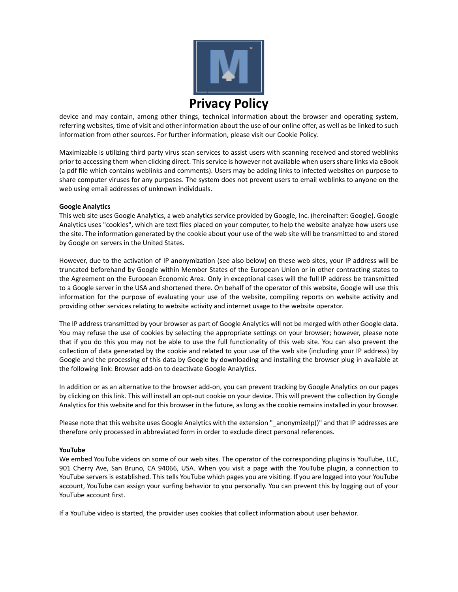

device and may contain, among other things, technical information about the browser and operating system, referring websites, time of visit and other information about the use of our online offer, as well as be linked to such information from other sources. For further information, please visit our Cookie Policy.

Maximizable is utilizing third party virus scan services to assist users with scanning received and stored weblinks prior to accessing them when clicking direct. This service is however not available when users share links via eBook (a pdf file which contains weblinks and comments). Users may be adding links to infected websites on purpose to share computer viruses for any purposes. The system does not prevent users to email weblinks to anyone on the web using email addresses of unknown individuals.

## **Google Analytics**

This web site uses Google Analytics, a web analytics service provided by Google, Inc. (hereinafter: Google). Google Analytics uses "cookies", which are text files placed on your computer, to help the website analyze how users use the site. The information generated by the cookie about your use of the web site will be transmitted to and stored by Google on servers in the United States.

However, due to the activation of IP anonymization (see also below) on these web sites, your IP address will be truncated beforehand by Google within Member States of the European Union or in other contracting states to the Agreement on the European Economic Area. Only in exceptional cases will the full IP address be transmitted to a Google server in the USA and shortened there. On behalf of the operator of this website, Google will use this information for the purpose of evaluating your use of the website, compiling reports on website activity and providing other services relating to website activity and internet usage to the website operator.

The IP address transmitted by your browser as part of Google Analytics will not be merged with other Google data. You may refuse the use of cookies by selecting the appropriate settings on your browser; however, please note that if you do this you may not be able to use the full functionality of this web site. You can also prevent the collection of data generated by the cookie and related to your use of the web site (including your IP address) by Google and the processing of this data by Google by downloading and installing the browser plug-in available at the following link: Browser add‐on to deactivate Google Analytics.

In addition or as an alternative to the browser add‐on, you can prevent tracking by Google Analytics on our pages by clicking on this link. This will install an opt‐out cookie on your device. This will prevent the collection by Google Analytics for this website and for this browser in the future, as long as the cookie remains installed in your browser.

Please note that this website uses Google Analytics with the extension "\_anonymizeIp()" and that IP addresses are therefore only processed in abbreviated form in order to exclude direct personal references.

### **YouTube**

We embed YouTube videos on some of our web sites. The operator of the corresponding plugins is YouTube, LLC, 901 Cherry Ave, San Bruno, CA 94066, USA. When you visit a page with the YouTube plugin, a connection to YouTube servers is established. This tells YouTube which pages you are visiting. If you are logged into your YouTube account, YouTube can assign your surfing behavior to you personally. You can prevent this by logging out of your YouTube account first.

If a YouTube video is started, the provider uses cookies that collect information about user behavior.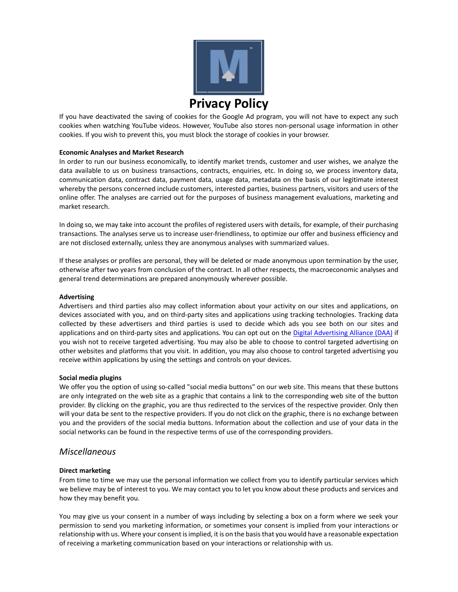

If you have deactivated the saving of cookies for the Google Ad program, you will not have to expect any such cookies when watching YouTube videos. However, YouTube also stores non‐personal usage information in other cookies. If you wish to prevent this, you must block the storage of cookies in your browser.

## **Economic Analyses and Market Research**

In order to run our business economically, to identify market trends, customer and user wishes, we analyze the data available to us on business transactions, contracts, enquiries, etc. In doing so, we process inventory data, communication data, contract data, payment data, usage data, metadata on the basis of our legitimate interest whereby the persons concerned include customers, interested parties, business partners, visitors and users of the online offer. The analyses are carried out for the purposes of business management evaluations, marketing and market research.

In doing so, we may take into account the profiles of registered users with details, for example, of their purchasing transactions. The analyses serve us to increase user‐friendliness, to optimize our offer and business efficiency and are not disclosed externally, unless they are anonymous analyses with summarized values.

If these analyses or profiles are personal, they will be deleted or made anonymous upon termination by the user, otherwise after two years from conclusion of the contract. In all other respects, the macroeconomic analyses and general trend determinations are prepared anonymously wherever possible.

### **Advertising**

Advertisers and third parties also may collect information about your activity on our sites and applications, on devices associated with you, and on third‐party sites and applications using tracking technologies. Tracking data collected by these advertisers and third parties is used to decide which ads you see both on our sites and applications and on third-party sites and applications. You can opt out on the Digital Advertising Alliance (DAA) if you wish not to receive targeted advertising. You may also be able to choose to control targeted advertising on other websites and platforms that you visit. In addition, you may also choose to control targeted advertising you receive within applications by using the settings and controls on your devices.

### **Social media plugins**

We offer you the option of using so-called "social media buttons" on our web site. This means that these buttons are only integrated on the web site as a graphic that contains a link to the corresponding web site of the button provider. By clicking on the graphic, you are thus redirected to the services of the respective provider. Only then will your data be sent to the respective providers. If you do not click on the graphic, there is no exchange between you and the providers of the social media buttons. Information about the collection and use of your data in the social networks can be found in the respective terms of use of the corresponding providers.

# *Miscellaneous*

### **Direct marketing**

From time to time we may use the personal information we collect from you to identify particular services which we believe may be of interest to you. We may contact you to let you know about these products and services and how they may benefit you.

You may give us your consent in a number of ways including by selecting a box on a form where we seek your permission to send you marketing information, or sometimes your consent is implied from your interactions or relationship with us. Where your consent isimplied, it is on the basisthat you would have a reasonable expectation of receiving a marketing communication based on your interactions or relationship with us.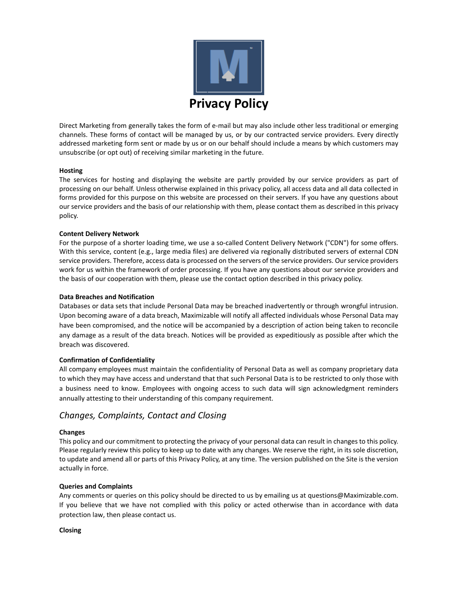

Direct Marketing from generally takes the form of e‐mail but may also include other less traditional or emerging channels. These forms of contact will be managed by us, or by our contracted service providers. Every directly addressed marketing form sent or made by us or on our behalf should include a means by which customers may unsubscribe (or opt out) of receiving similar marketing in the future.

## **Hosting**

The services for hosting and displaying the website are partly provided by our service providers as part of processing on our behalf. Unless otherwise explained in this privacy policy, all access data and all data collected in forms provided for this purpose on this website are processed on their servers. If you have any questions about our service providers and the basis of our relationship with them, please contact them as described in this privacy policy.

## **Content Delivery Network**

For the purpose of a shorter loading time, we use a so-called Content Delivery Network ("CDN") for some offers. With this service, content (e.g., large media files) are delivered via regionally distributed servers of external CDN service providers. Therefore, access data is processed on the servers of the service providers. Our service providers work for us within the framework of order processing. If you have any questions about our service providers and the basis of our cooperation with them, please use the contact option described in this privacy policy.

### **Data Breaches and Notification**

Databases or data sets that include Personal Data may be breached inadvertently or through wrongful intrusion. Upon becoming aware of a data breach, Maximizable will notify all affected individuals whose Personal Data may have been compromised, and the notice will be accompanied by a description of action being taken to reconcile any damage as a result of the data breach. Notices will be provided as expeditiously as possible after which the breach was discovered.

# **Confirmation of Confidentiality**

All company employees must maintain the confidentiality of Personal Data as well as company proprietary data to which they may have access and understand that that such Personal Data is to be restricted to only those with a business need to know. Employees with ongoing access to such data will sign acknowledgment reminders annually attesting to their understanding of this company requirement.

# *Changes, Complaints, Contact and Closing*

# **Changes**

This policy and our commitment to protecting the privacy of your personal data can result in changes to this policy. Please regularly review this policy to keep up to date with any changes. We reserve the right, in its sole discretion, to update and amend all or parts of this Privacy Policy, at any time. The version published on the Site is the version actually in force.

### **Queries and Complaints**

Any comments or queries on this policy should be directed to us by emailing us at questions@Maximizable.com. If you believe that we have not complied with this policy or acted otherwise than in accordance with data protection law, then please contact us.

### **Closing**